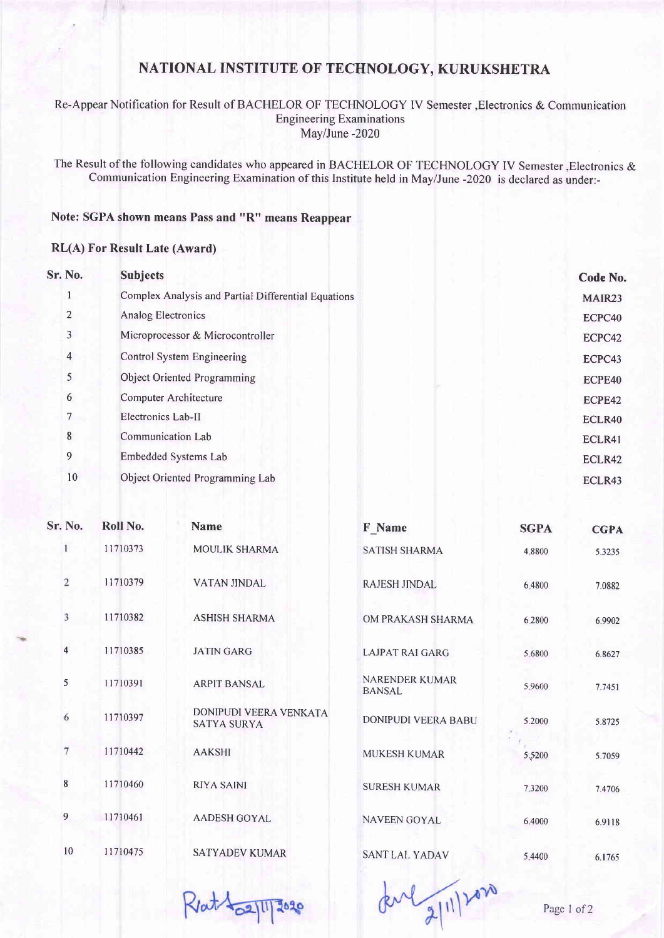# NATIONAL INSTITUTE OF TECHNOLOGY, KURUKSHETRA

### Re-Appear Notification for Result of BACHELOR OF TECHNOLOGY IV Semester ,Electronics & Communication **Engineering Examinations** May/June -2020

The Result of the following candidates who appeared in BACHELOR OF TECHNOLOGY IV Semester, Electronics & Communication Engineering Examination of this Institute held in May/June -2020 is declared as under:-

### Note: SGPA shown means Pass and "R" means Reappear

#### RL(A) For Result Late (Award)

| Sr. No.        | <b>Subjects</b>                                     | Code No. |
|----------------|-----------------------------------------------------|----------|
|                | Complex Analysis and Partial Differential Equations | MAIR23   |
| $\overline{2}$ | Analog Electronics                                  | ECPC40   |
| 3              | Microprocessor & Microcontroller                    | ECPC42   |
| $\overline{4}$ | Control System Engineering                          | ECPC43   |
| 5              | <b>Object Oriented Programming</b>                  | ECPE40   |
| 6              | Computer Architecture                               | ECPE42   |
| 7              | Electronics Lab-II                                  | ECLR40   |
| 8              | <b>Communication Lab</b>                            | ECLR41   |
| 9              | Embedded Systems Lab                                | ECLR42   |
| 10             | Object Oriented Programming Lab                     | ECLR43   |
|                |                                                     |          |

| Sr. No.                 | Roll No. | <b>Name</b>                                  | F Name                                 | <b>SGPA</b> | <b>CGPA</b> |
|-------------------------|----------|----------------------------------------------|----------------------------------------|-------------|-------------|
| $\mathbf{1}$            | 11710373 | MOULIK SHARMA                                | <b>SATISH SHARMA</b>                   | 4.8800      | 5.3235      |
| $\overline{\mathbf{c}}$ | 11710379 | <b>VATAN JINDAL</b>                          | <b>RAJESH JINDAL</b>                   | 6.4800      | 7.0882      |
| 3                       | 11710382 | <b>ASHISH SHARMA</b>                         | OM PRAKASH SHARMA                      | 6.2800      | 6.9902      |
| 4                       | 11710385 | <b>JATIN GARG</b>                            | <b>LAJPAT RAI GARG</b>                 | 5.6800      | 6.8627      |
| 5                       | 11710391 | <b>ARPIT BANSAL</b>                          | <b>NARENDER KUMAR</b><br><b>BANSAL</b> | 5.9600      | 7.7451      |
| 6                       | 11710397 | DONIPUDI VEERA VENKATA<br><b>SATYA SURYA</b> | DONIPUDI VEERA BABU                    | 5.2000      | 5.8725      |
| 7                       | 11710442 | <b>AAKSHI</b>                                | MUKESH KUMAR                           | 5.5200      | 5.7059      |
| 8                       | 11710460 | <b>RIYA SAINI</b>                            | <b>SURESH KUMAR</b>                    | 7.3200      | 7.4706      |
| 9                       | 11710461 | <b>AADESH GOYAL</b>                          | <b>NAVEEN GOYAL</b>                    | 6.4000      | 6.9118      |
| 10                      | 11710475 | SATYADEV KUMAR                               | SANT LAL YADAV                         | 5.4400      | 6.1765      |

 $Rot_{02}113020$ 

developped

Page 1 of 2